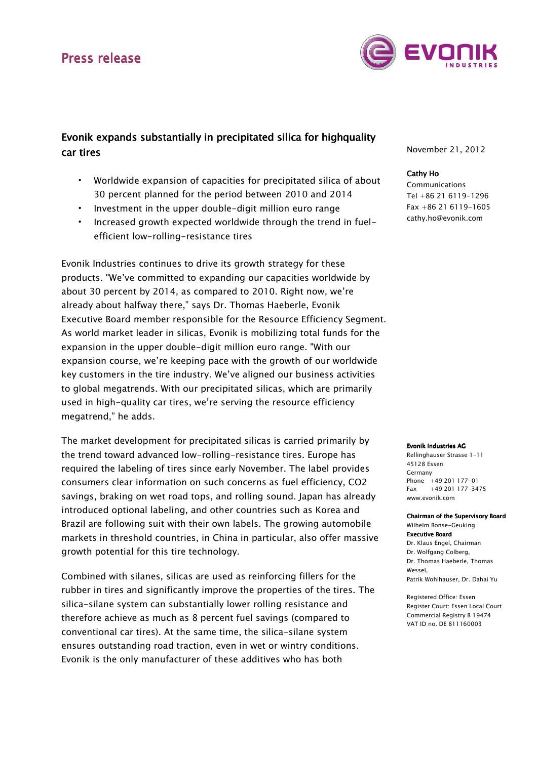# Press release



### Evonik expands substantially in precipitated silica for highquality car tires

- Worldwide expansion of capacities for precipitated silica of about 30 percent planned for the period between 2010 and 2014
- Investment in the upper double-digit million euro range
- Increased growth expected worldwide through the trend in fuelefficient low-rolling-resistance tires

Evonik Industries continues to drive its growth strategy for these products. "We've committed to expanding our capacities worldwide by about 30 percent by 2014, as compared to 2010. Right now, we're already about halfway there," says Dr. Thomas Haeberle, Evonik Executive Board member responsible for the Resource Efficiency Segment. As world market leader in silicas, Evonik is mobilizing total funds for the expansion in the upper double-digit million euro range. "With our expansion course, we're keeping pace with the growth of our worldwide key customers in the tire industry. We've aligned our business activities to global megatrends. With our precipitated silicas, which are primarily used in high-quality car tires, we're serving the resource efficiency megatrend," he adds.

The market development for precipitated silicas is carried primarily by the trend toward advanced low-rolling-resistance tires. Europe has required the labeling of tires since early November. The label provides consumers clear information on such concerns as fuel efficiency, CO2 savings, braking on wet road tops, and rolling sound. Japan has already introduced optional labeling, and other countries such as Korea and Brazil are following suit with their own labels. The growing automobile markets in threshold countries, in China in particular, also offer massive growth potential for this tire technology.

Combined with silanes, silicas are used as reinforcing fillers for the rubber in tires and significantly improve the properties of the tires. The silica-silane system can substantially lower rolling resistance and therefore achieve as much as 8 percent fuel savings (compared to conventional car tires). At the same time, the silica-silane system ensures outstanding road traction, even in wet or wintry conditions. Evonik is the only manufacturer of these additives who has both

November 21, 2012

### Cathy Ho

Communications Tel +86 21 6119-1296 Fax +86 21 6119-1605 cathy.ho@evonik.com

#### Evonik Industries AG

Rellinghauser Strasse 1-11 45128 Essen Germany Phone +49 201 177-01 Fax +49 201 177-3475 www.evonik.com

#### Chairman of the Supervisory Board Wilhelm Bonse-Geuking **Executive Board** Dr. Klaus Engel, Chairman

Dr. Wolfgang Colberg, Dr. Thomas Haeberle, Thomas Wessel, Patrik Wohlhauser, Dr. Dahai Yu

Registered Office: Essen Register Court: Essen Local Court Commercial Registry B 19474 VAT ID no. DE 811160003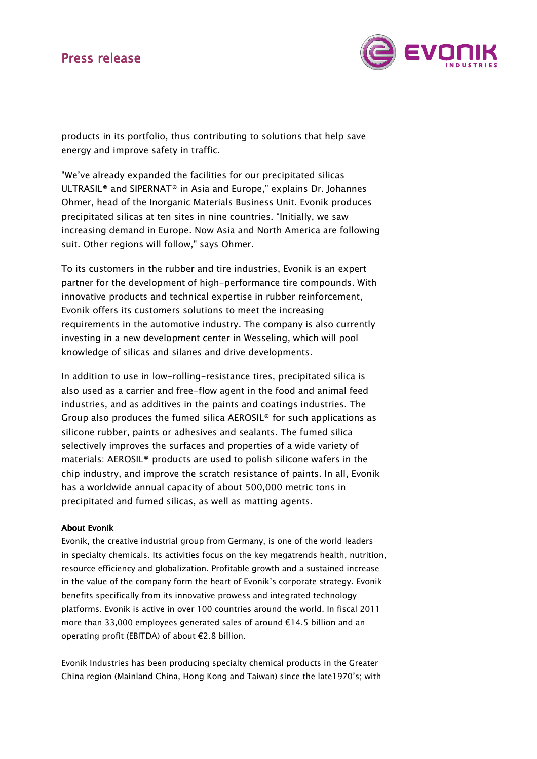# Press release



products in its portfolio, thus contributing to solutions that help save energy and improve safety in traffic.

"We've already expanded the facilities for our precipitated silicas ULTRASIL® and SIPERNAT® in Asia and Europe," explains Dr. Johannes Ohmer, head of the Inorganic Materials Business Unit. Evonik produces precipitated silicas at ten sites in nine countries. "Initially, we saw increasing demand in Europe. Now Asia and North America are following suit. Other regions will follow," says Ohmer.

To its customers in the rubber and tire industries, Evonik is an expert partner for the development of high-performance tire compounds. With innovative products and technical expertise in rubber reinforcement, Evonik offers its customers solutions to meet the increasing requirements in the automotive industry. The company is also currently investing in a new development center in Wesseling, which will pool knowledge of silicas and silanes and drive developments.

In addition to use in low-rolling-resistance tires, precipitated silica is also used as a carrier and free-flow agent in the food and animal feed industries, and as additives in the paints and coatings industries. The Group also produces the fumed silica AEROSIL® for such applications as silicone rubber, paints or adhesives and sealants. The fumed silica selectively improves the surfaces and properties of a wide variety of materials: AEROSIL® products are used to polish silicone wafers in the chip industry, and improve the scratch resistance of paints. In all, Evonik has a worldwide annual capacity of about 500,000 metric tons in precipitated and fumed silicas, as well as matting agents.

### **About Evonik**

Evonik, the creative industrial group from Germany, is one of the world leaders in specialty chemicals. Its activities focus on the key megatrends health, nutrition, resource efficiency and globalization. Profitable growth and a sustained increase in the value of the company form the heart of Evonik's corporate strategy. Evonik benefits specifically from its innovative prowess and integrated technology platforms. Evonik is active in over 100 countries around the world. In fiscal 2011 more than 33,000 employees generated sales of around €14.5 billion and an operating profit (EBITDA) of about €2.8 billion.

Evonik Industries has been producing specialty chemical products in the Greater China region (Mainland China, Hong Kong and Taiwan) since the late1970's; with